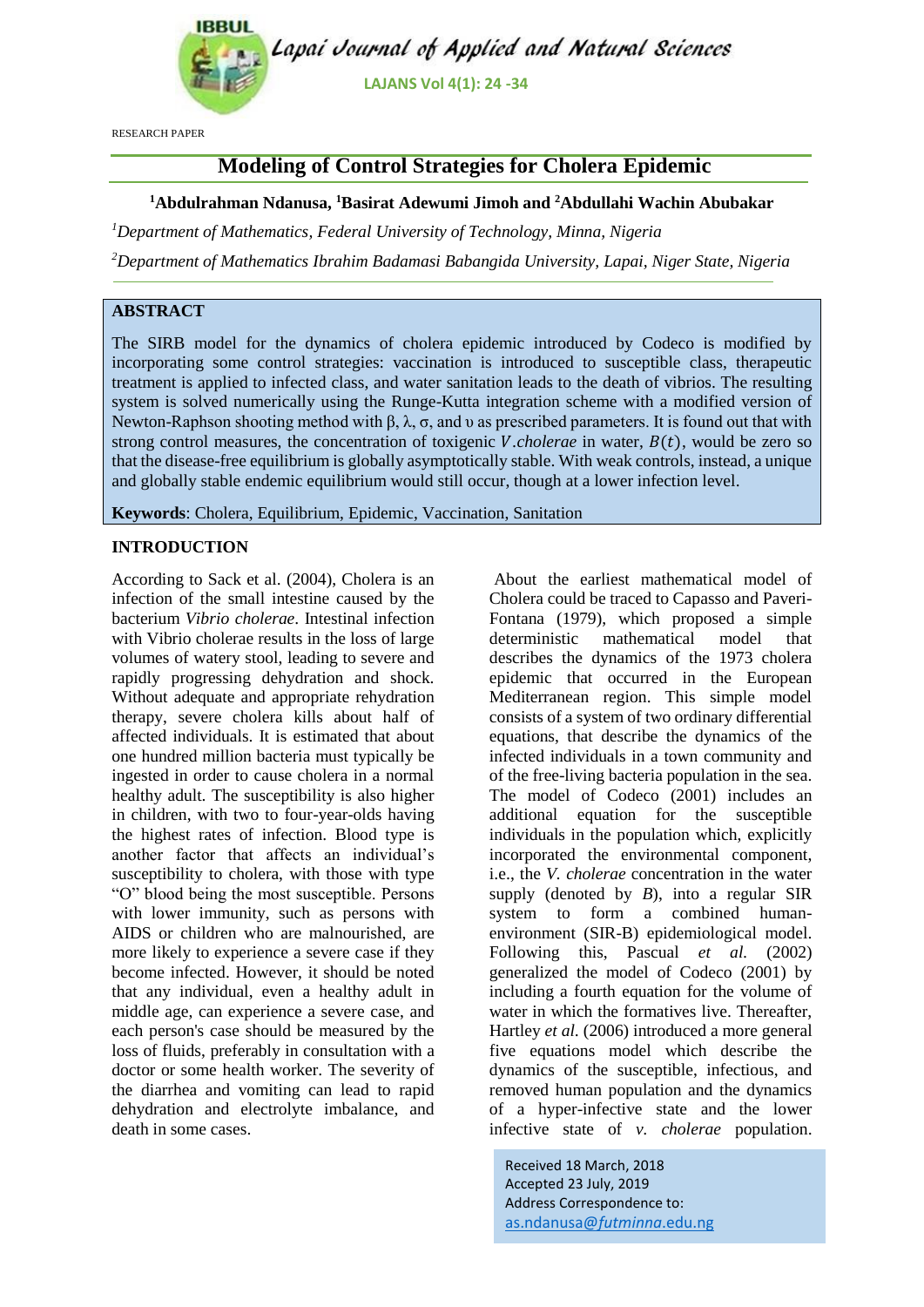

RESEARCH PAPER

# **Modeling of Control Strategies for Cholera Epidemic**

### **<sup>1</sup>Abdulrahman Ndanusa, <sup>1</sup>Basirat Adewumi Jimoh and <sup>2</sup>Abdullahi Wachin Abubakar**

*<sup>1</sup>Department of Mathematics, Federal University of Technology, Minna, Nigeria*

*<sup>2</sup>Department of Mathematics Ibrahim Badamasi Babangida University, Lapai, Niger State, Nigeria*

### **ABSTRACT**

The SIRB model for the dynamics of cholera epidemic introduced by Codeco is modified by incorporating some control strategies: vaccination is introduced to susceptible class, therapeutic treatment is applied to infected class, and water sanitation leads to the death of vibrios. The resulting system is solved numerically using the Runge-Kutta integration scheme with a modified version of Newton-Raphson shooting method with β,  $\lambda$ , σ, and v as prescribed parameters. It is found out that with strong control measures, the concentration of toxigenic *V*.*cholerae* in water,  $B(t)$ , would be zero so that the disease-free equilibrium is globally asymptotically stable. With weak controls, instead, a unique and globally stable endemic equilibrium would still occur, though at a lower infection level.

**Keywords**: Cholera, Equilibrium, Epidemic, Vaccination, Sanitation

### **INTRODUCTION**

According to Sack et al. (2004), Cholera is an infection of the small intestine caused by the bacterium *Vibrio cholerae*. Intestinal infection with Vibrio cholerae results in the loss of large volumes of watery stool, leading to severe and rapidly progressing dehydration and shock. Without adequate and appropriate rehydration therapy, severe cholera kills about half of affected individuals. It is estimated that about one hundred million bacteria must typically be ingested in order to cause cholera in a normal healthy adult. The susceptibility is also higher in children, with two to four-year-olds having the highest rates of infection. Blood type is another factor that affects an individual's susceptibility to cholera, with those with type "O" blood being the most susceptible. Persons with lower immunity, such as persons with AIDS or children who are malnourished, are more likely to experience a severe case if they become infected. However, it should be noted that any individual, even a healthy adult in middle age, can experience a severe case, and each person's case should be measured by the loss of fluids, preferably in consultation with a doctor or some health worker. The severity of the diarrhea and vomiting can lead to rapid dehydration and electrolyte imbalance, and death in some cases.

About the earliest mathematical model of Cholera could be traced to Capasso and Paveri-Fontana (1979), which proposed a simple deterministic mathematical model that describes the dynamics of the 1973 cholera epidemic that occurred in the European Mediterranean region. This simple model consists of a system of two ordinary differential equations, that describe the dynamics of the infected individuals in a town community and of the free-living bacteria population in the sea. The model of Codeco (2001) includes an additional equation for the susceptible individuals in the population which, explicitly incorporated the environmental component, i.e., the *V. cholerae* concentration in the water supply (denoted by *B*), into a regular SIR system to form a combined humanenvironment (SIR-B) epidemiological model. Following this, Pascual *et al.* (2002) generalized the model of Codeco (2001) by including a fourth equation for the volume of water in which the formatives live. Thereafter, Hartley *et al.* (2006) introduced a more general five equations model which describe the dynamics of the susceptible, infectious, and removed human population and the dynamics of a hyper-infective state and the lower infective state of *v. cholerae* population.

Received 18 March, 2018 Accepted 23 July, 2019 Address Correspondence to: [as.ndanusa@](mailto:as.ndanusa@futminna.edu.ng)*futminna*.edu.ng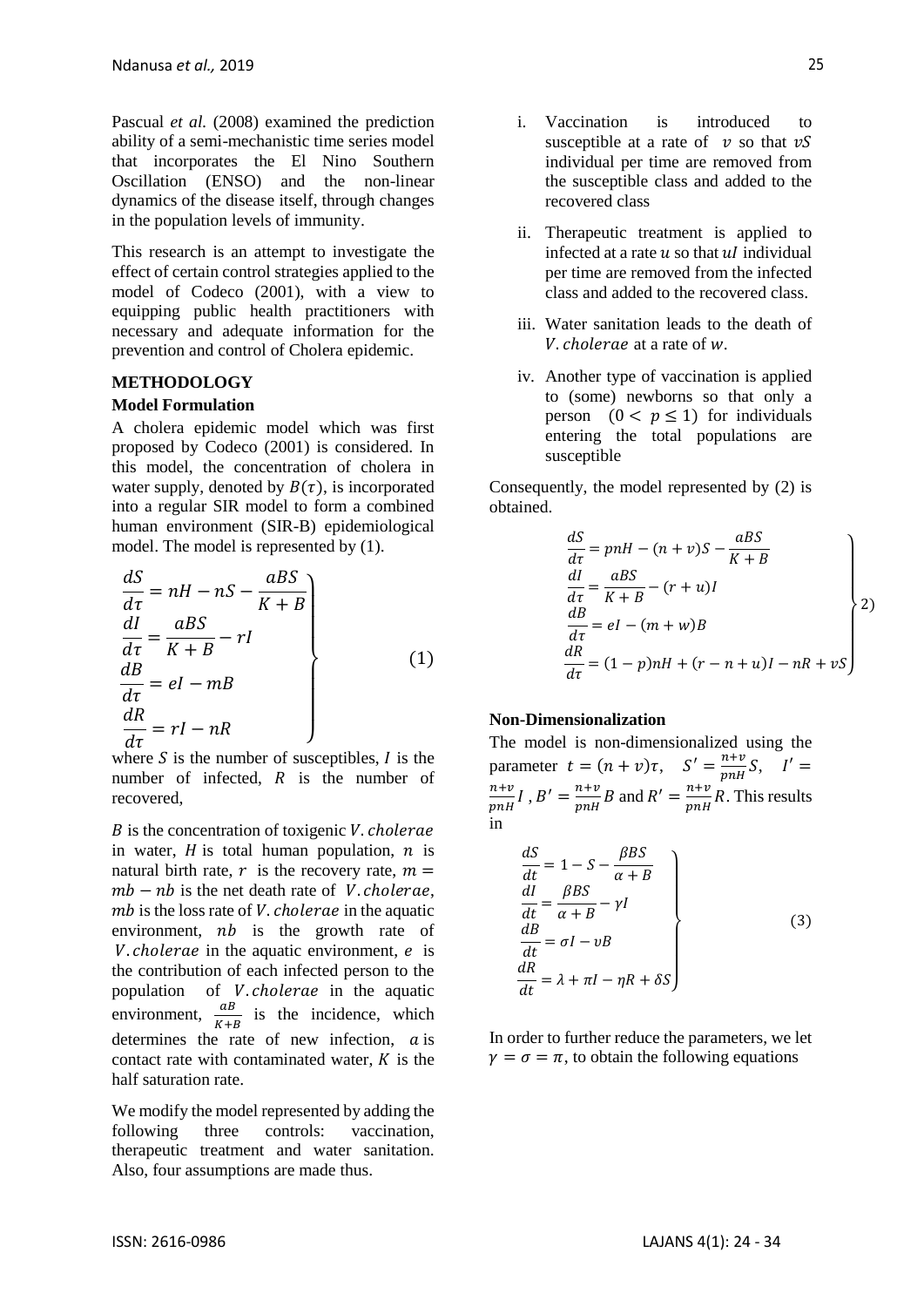Pascual *et al.* (2008) examined the prediction ability of a semi-mechanistic time series model that incorporates the El Nino Southern Oscillation (ENSO) and the non-linear dynamics of the disease itself, through changes in the population levels of immunity.

This research is an attempt to investigate the effect of certain control strategies applied to the model of Codeco (2001), with a view to equipping public health practitioners with necessary and adequate information for the prevention and control of Cholera epidemic.

#### **METHODOLOGY**

#### **Model Formulation**

A cholera epidemic model which was first proposed by Codeco (2001) is considered. In this model, the concentration of cholera in water supply, denoted by  $B(\tau)$ , is incorporated into a regular SIR model to form a combined human environment (SIR-B) epidemiological model. The model is represented by (1).

$$
\begin{aligned}\n\frac{dS}{d\tau} &= nH - nS - \frac{aBS}{K + B} \\
\frac{dI}{d\tau} &= \frac{aBS}{K + B} - rI \\
\frac{dB}{d\tau} &= el - mB \\
\frac{dR}{d\tau} &= rI - nR\n\end{aligned}
$$
\n(1)

where  $S$  is the number of susceptibles,  $I$  is the number of infected,  $R$  is the number of recovered,

 $B$  is the concentration of toxigenic  $V$ , cholerae in water,  $H$  is total human population,  $n$  is natural birth rate, r is the recovery rate,  $m =$  $mb - nb$  is the net death rate of *V*. *cholerae*,  $mb$  is the loss rate of *V*. *cholerae* in the aquatic environment,  $nb$  is the growth rate of *V*. *cholerae* in the aquatic environment,  $e$  is the contribution of each infected person to the population of *V. cholerae* in the aquatic environment,  $\frac{dB}{K+B}$  is the incidence, which determines the rate of new infection,  $\alpha$  is contact rate with contaminated water,  $K$  is the half saturation rate.

We modify the model represented by adding the following three controls: vaccination, therapeutic treatment and water sanitation. Also, four assumptions are made thus.

- i. Vaccination is introduced to susceptible at a rate of  $\nu$  so that  $\nu S$ individual per time are removed from the susceptible class and added to the recovered class
- ii. Therapeutic treatment is applied to infected at a rate  $u$  so that  $uI$  individual per time are removed from the infected class and added to the recovered class.
- iii. Water sanitation leads to the death of  $V$ . *cholerae* at a rate of  $W$ .
- iv. Another type of vaccination is applied to (some) newborns so that only a person  $(0 < p \le 1)$  for individuals entering the total populations are susceptible

Consequently, the model represented by (2) is obtained.

$$
\begin{aligned}\n\frac{dS}{dt} &= p n H - (n + v)S - \frac{aBS}{K + B} \\
\frac{dI}{dt} &= \frac{aBS}{K + B} - (r + u)I \\
\frac{dB}{dt} &= el - (m + w)B \\
\frac{dR}{dt} &= (1 - p) n H + (r - n + u)I - nR + vS\n\end{aligned}
$$

#### **Non-Dimensionalization**

The model is non-dimensionalized using the parameter  $t = (n + v)\tau$ ,  $S' = \frac{n+v}{m!}$  $\frac{n+v}{pnH}S, \quad I' =$  $n+v$  $\frac{n+v}{pnH}I$ ,  $B' = \frac{n+v}{pnH}$  $\frac{n+v}{pnH}B$  and  $R' = \frac{n+v}{pnH}$  $\frac{n+v}{pnH}R$ . This results in

$$
\begin{aligned}\n\frac{dS}{dt} &= 1 - S - \frac{\beta BS}{\alpha + B} \\
\frac{dI}{dt} &= \frac{\beta BS}{\alpha + B} - \gamma I \\
\frac{dB}{dt} &= \sigma I - \nu B \\
\frac{dR}{dt} &= \lambda + \pi I - \eta R + \delta S\n\end{aligned}
$$
\n(3)

In order to further reduce the parameters, we let  $\gamma = \sigma = \pi$ , to obtain the following equations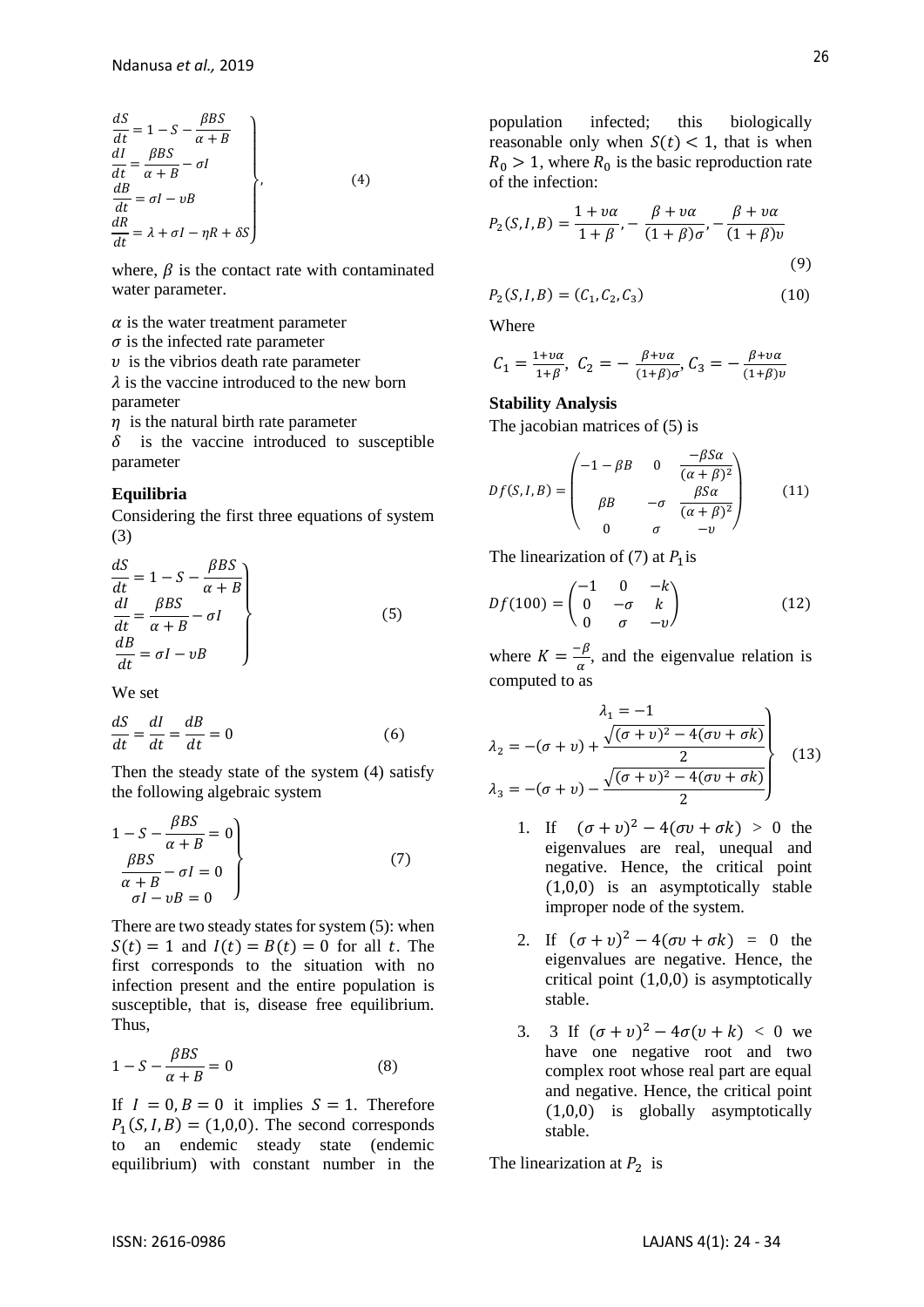$$
\begin{aligned}\n\frac{dS}{dt} &= 1 - S - \frac{\beta BS}{\alpha + B} \\
\frac{dI}{dt} &= \frac{\beta BS}{\alpha + B} - \sigma I \\
\frac{dB}{dt} &= \sigma I - \nu B \\
\frac{dR}{dt} &= \lambda + \sigma I - \eta R + \delta S\n\end{aligned}
$$
\n(4)

where,  $\beta$  is the contact rate with contaminated water parameter.

 $\alpha$  is the water treatment parameter

 $\sigma$  is the infected rate parameter

 $\nu$  is the vibrios death rate parameter  $\lambda$  is the vaccine introduced to the new born parameter

 $\eta$  is the natural birth rate parameter

 $\delta$  is the vaccine introduced to susceptible parameter

#### **Equilibria**

Considering the first three equations of system (3)

$$
\begin{aligned}\n\frac{dS}{dt} &= 1 - S - \frac{\beta BS}{\alpha + B} \\
\frac{dI}{dt} &= \frac{\beta BS}{\alpha + B} - \sigma I \\
\frac{dB}{dt} &= \sigma I - \nu B\n\end{aligned} \tag{5}
$$

We set

$$
\frac{dS}{dt} = \frac{dI}{dt} = \frac{dB}{dt} = 0\tag{6}
$$

Then the steady state of the system (4) satisfy the following algebraic system

$$
1 - S - \frac{\beta BS}{\alpha + B} = 0
$$
  
\n
$$
\frac{\beta BS}{\alpha + B} - \sigma I = 0
$$
  
\n
$$
\sigma I - \nu B = 0
$$
\n(7)

There are two steady states for system (5): when  $S(t) = 1$  and  $I(t) = B(t) = 0$  for all t. The first corresponds to the situation with no infection present and the entire population is susceptible, that is, disease free equilibrium. Thus,

$$
1 - S - \frac{\beta BS}{\alpha + B} = 0\tag{8}
$$

If  $I = 0, B = 0$  it implies  $S = 1$ . Therefore  $P_1(S, I, B) = (1, 0, 0)$ . The second corresponds to an endemic steady state (endemic equilibrium) with constant number in the

population infected; this biologically reasonable only when  $S(t) < 1$ , that is when  $R_0 > 1$ , where  $R_0$  is the basic reproduction rate of the infection:

$$
P_2(S, I, B) = \frac{1 + v\alpha}{1 + \beta}, -\frac{\beta + v\alpha}{(1 + \beta)\sigma}, -\frac{\beta + v\alpha}{(1 + \beta)v}
$$
\n(9)

$$
P_2(S, I, B) = (C_1, C_2, C_3)
$$
\n(10)

Where

$$
C_1 = \frac{1 + \nu \alpha}{1 + \beta}, C_2 = -\frac{\beta + \nu \alpha}{(1 + \beta)\sigma}, C_3 = -\frac{\beta + \nu \alpha}{(1 + \beta)\nu}
$$

#### **Stability Analysis**

The jacobian matrices of (5) is

$$
Df(S, I, B) = \begin{pmatrix} -1 - \beta B & 0 & \frac{-\beta S \alpha}{(\alpha + \beta)^2} \\ \beta B & -\sigma & \frac{\beta S \alpha}{(\alpha + \beta)^2} \\ 0 & \sigma & -v \end{pmatrix}
$$
(11)

The linearization of (7) at  $P_1$  is

$$
Df(100) = \begin{pmatrix} -1 & 0 & -k \\ 0 & -\sigma & k \\ 0 & \sigma & -v \end{pmatrix}
$$
 (12)

where  $K = \frac{-\beta}{\alpha}$  $\frac{\pi}{\alpha}$ , and the eigenvalue relation is computed to as

$$
\lambda_1 = -1
$$
\n
$$
\lambda_2 = -(\sigma + v) + \frac{\sqrt{(\sigma + v)^2 - 4(\sigma v + \sigma k)}}{2}
$$
\n
$$
\lambda_3 = -(\sigma + v) - \frac{\sqrt{(\sigma + v)^2 - 4(\sigma v + \sigma k)}}{2}
$$
\n(13)

- 1. If  $(\sigma + v)^2 4(\sigma v + \sigma k) > 0$  the eigenvalues are real, unequal and negative. Hence, the critical point (1,0,0) is an asymptotically stable improper node of the system.
- 2. If  $(\sigma + v)^2 4(\sigma v + \sigma k) = 0$  the eigenvalues are negative. Hence, the critical point (1,0,0) is asymptotically stable.
- 3. 3 If  $(\sigma + v)^2 4\sigma(v + k) < 0$  we have one negative root and two complex root whose real part are equal and negative. Hence, the critical point (1,0,0) is globally asymptotically stable.

The linearization at  $P_2$  is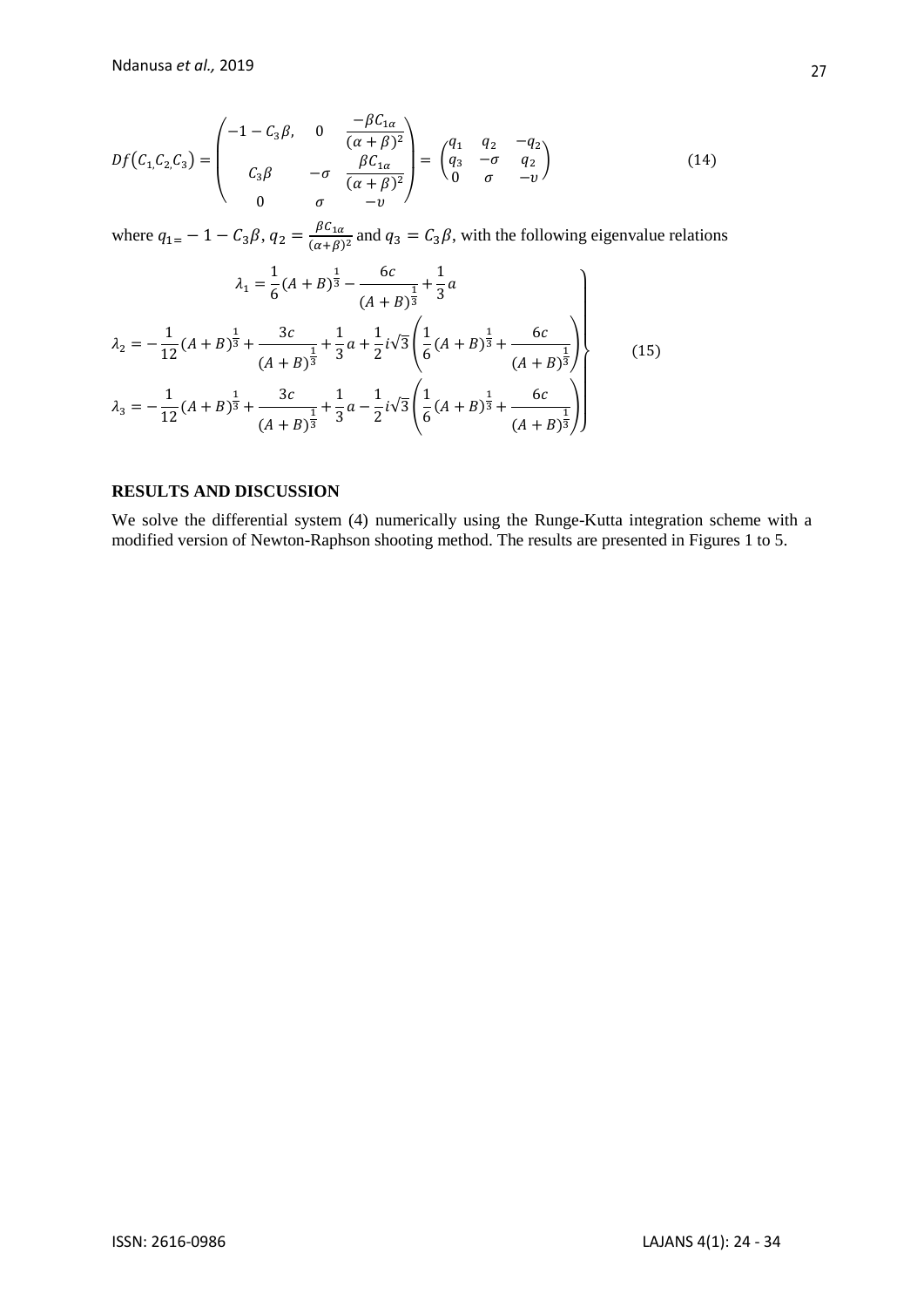$$
Df(C_1, C_2, C_3) = \begin{pmatrix} -1 - C_3 \beta, & 0 & \frac{-\beta C_{1\alpha}}{(\alpha + \beta)^2} \\ C_3 \beta & -\sigma & \frac{\beta C_{1\alpha}}{(\alpha + \beta)^2} \\ 0 & \sigma & -v \end{pmatrix} = \begin{pmatrix} q_1 & q_2 & -q_2 \\ q_3 & -\sigma & q_2 \\ 0 & \sigma & -v \end{pmatrix}
$$
(14)

where  $q_{1} = -1 - C_3 \beta$ ,  $q_2 = \frac{\beta C_{1\alpha}}{( \alpha + \beta)}$  $\frac{\rho c_{1\alpha}}{(\alpha+\beta)^2}$  and  $q_3 = C_3\beta$ , with the following eigenvalue relations

$$
\lambda_1 = \frac{1}{6}(A+B)^{\frac{1}{3}} - \frac{6c}{(A+B)^{\frac{1}{3}}} + \frac{1}{3}a
$$
\n
$$
\lambda_2 = -\frac{1}{12}(A+B)^{\frac{1}{3}} + \frac{3c}{(A+B)^{\frac{1}{3}}} + \frac{1}{3}a + \frac{1}{2}i\sqrt{3}\left(\frac{1}{6}(A+B)^{\frac{1}{3}} + \frac{6c}{(A+B)^{\frac{1}{3}}}\right)
$$
\n
$$
\lambda_3 = -\frac{1}{12}(A+B)^{\frac{1}{3}} + \frac{3c}{(A+B)^{\frac{1}{3}}} + \frac{1}{3}a - \frac{1}{2}i\sqrt{3}\left(\frac{1}{6}(A+B)^{\frac{1}{3}} + \frac{6c}{(A+B)^{\frac{1}{3}}}\right)
$$
\n(15)

### **RESULTS AND DISCUSSION**

We solve the differential system (4) numerically using the Runge-Kutta integration scheme with a modified version of Newton-Raphson shooting method. The results are presented in Figures 1 to 5.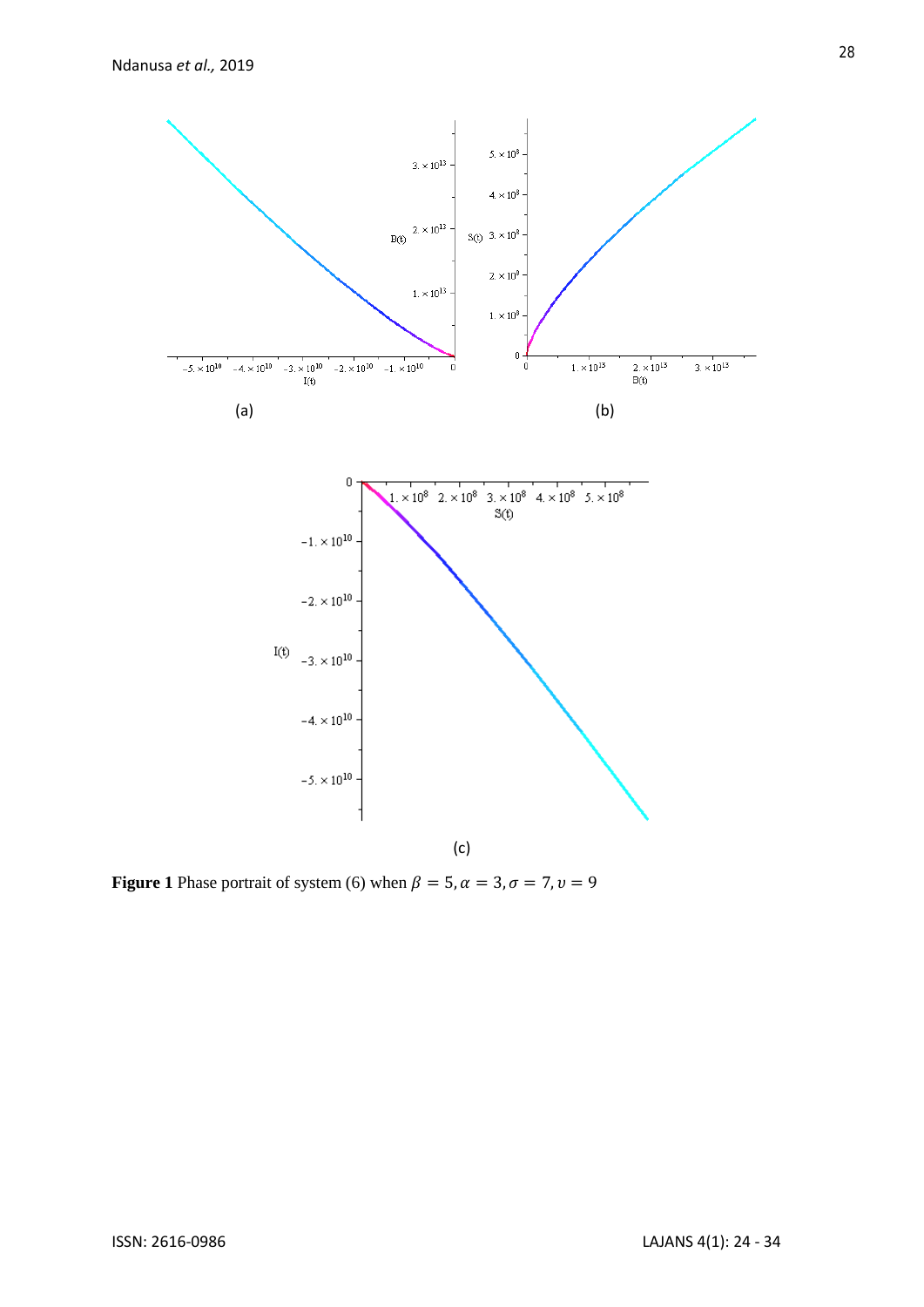

**Figure 1** Phase portrait of system (6) when  $\beta = 5$ ,  $\alpha = 3$ ,  $\sigma = 7$ ,  $\nu = 9$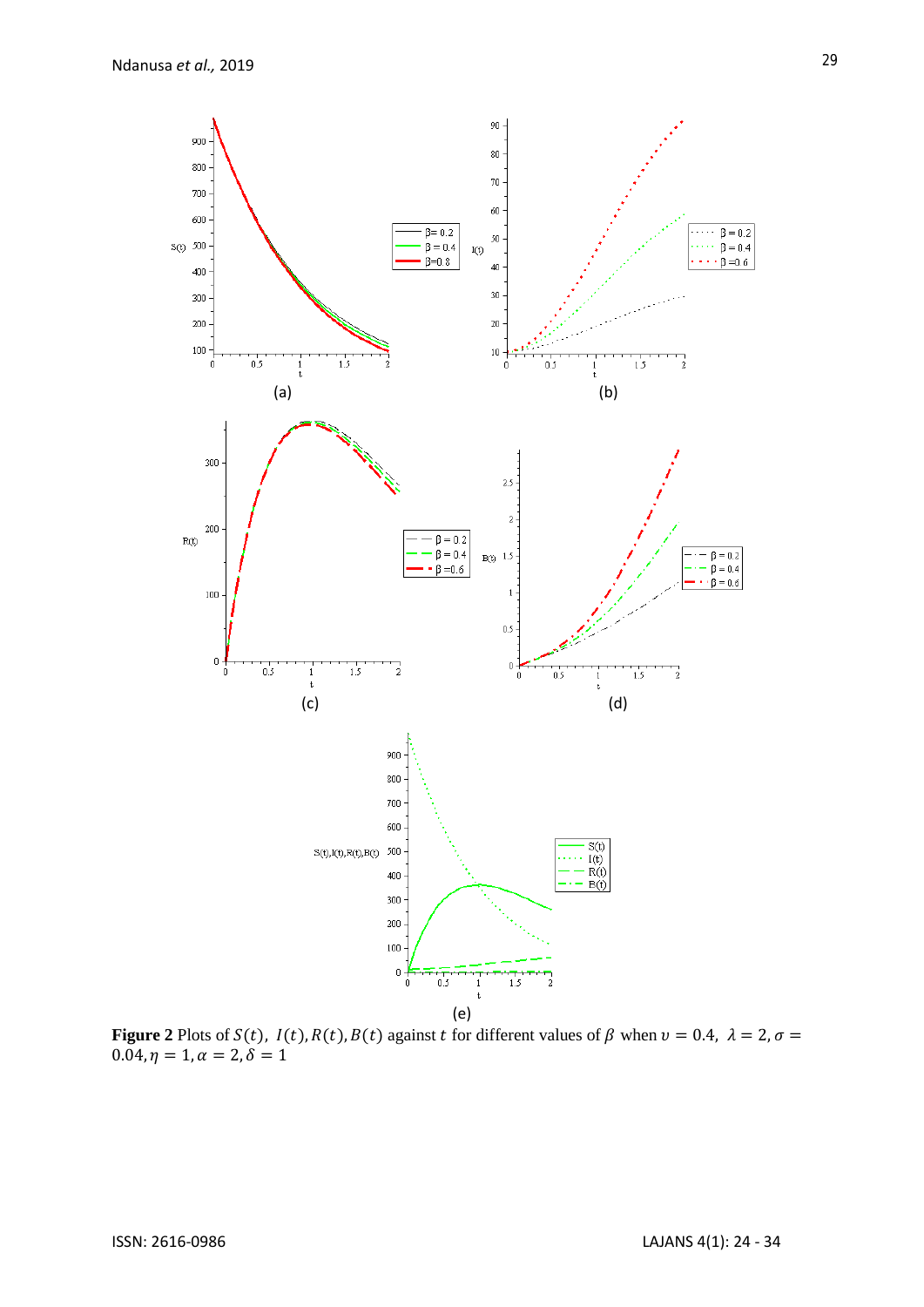

**Figure 2** Plots of  $S(t)$ ,  $I(t)$ ,  $R(t)$ ,  $B(t)$  against  $t$  for different values of  $\beta$  when  $v = 0.4$ ,  $\lambda = 2$ ,  $\sigma =$  $0.04, \eta = 1, \alpha = 2, \delta = 1$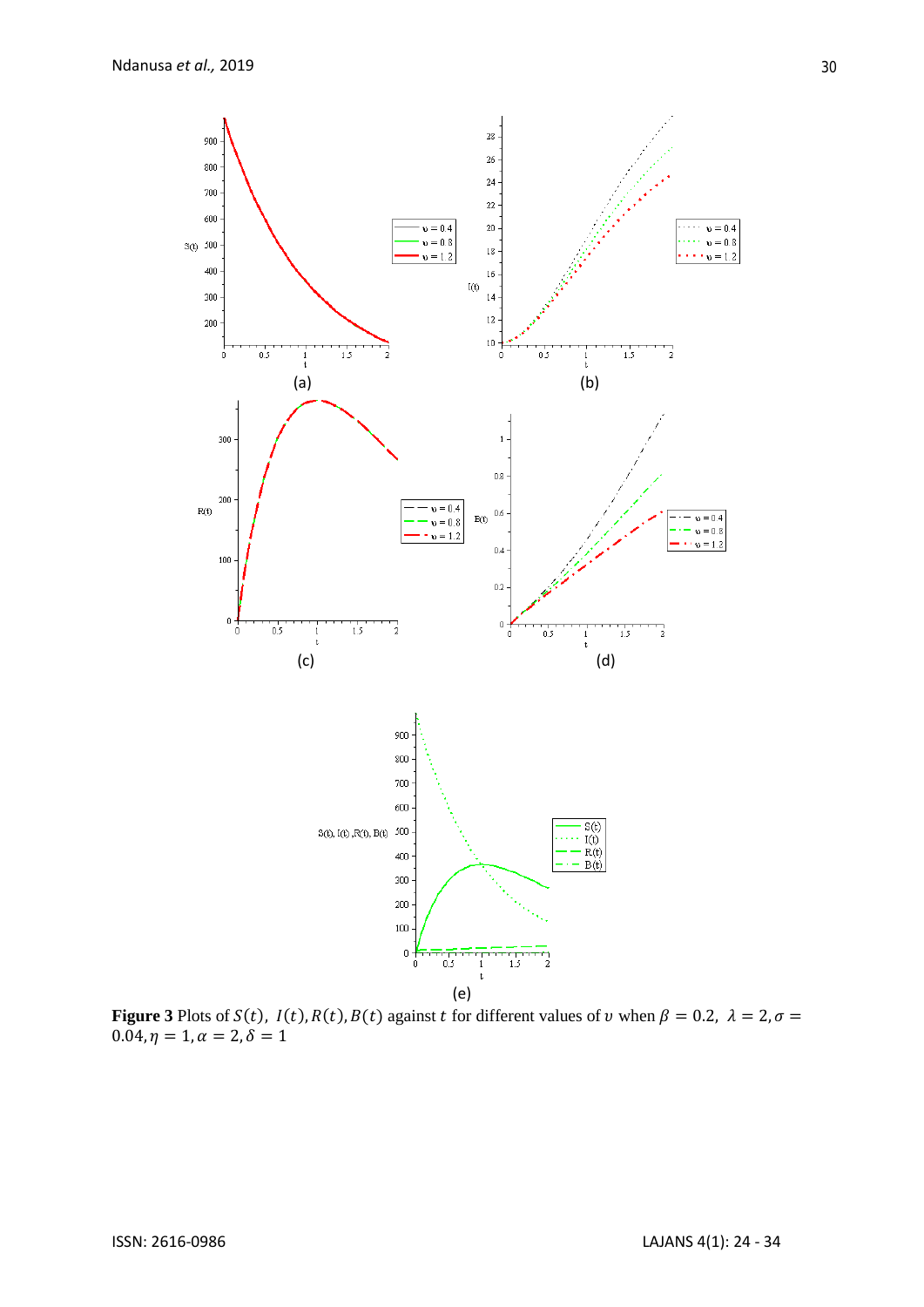

**Figure 3** Plots of  $S(t)$ ,  $I(t)$ ,  $R(t)$ ,  $B(t)$  against t for different values of v when  $\beta = 0.2$ ,  $\lambda = 2$ ,  $\sigma =$  $0.04, \eta = 1, \alpha = 2, \delta = 1$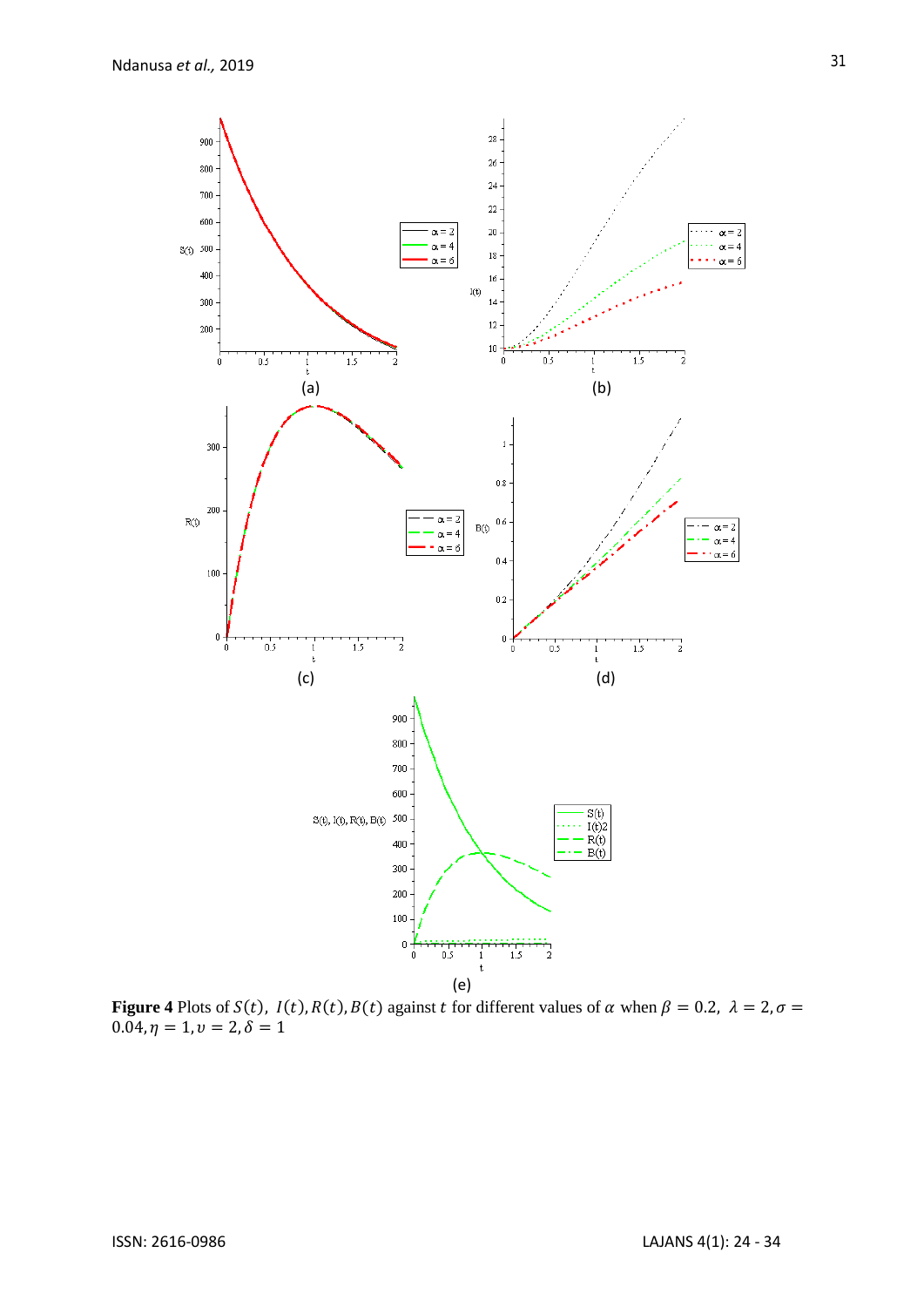

**Figure 4** Plots of  $S(t)$ ,  $I(t)$ ,  $R(t)$ ,  $B(t)$  against t for different values of  $\alpha$  when  $\beta = 0.2$ ,  $\lambda = 2$ ,  $\sigma =$  $0.04, \eta = 1, \upsilon = 2, \delta = 1$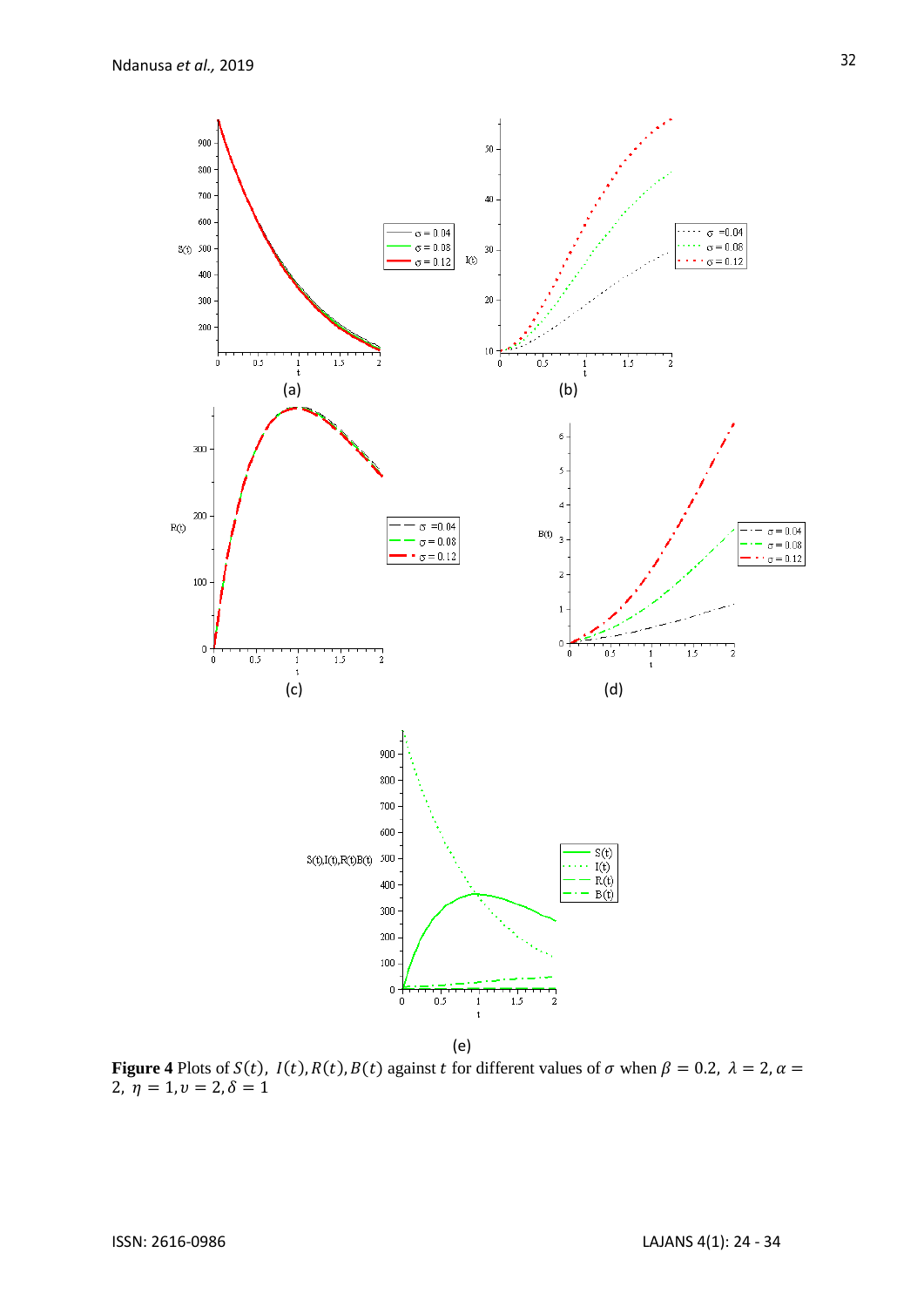

**Figure 4** Plots of  $S(t)$ ,  $I(t)$ ,  $R(t)$ ,  $B(t)$  against t for different values of  $\sigma$  when  $\beta = 0.2$ ,  $\lambda = 2$ ,  $\alpha =$  $2, \bar{\eta} = 1, \upsilon = 2, \delta = 1$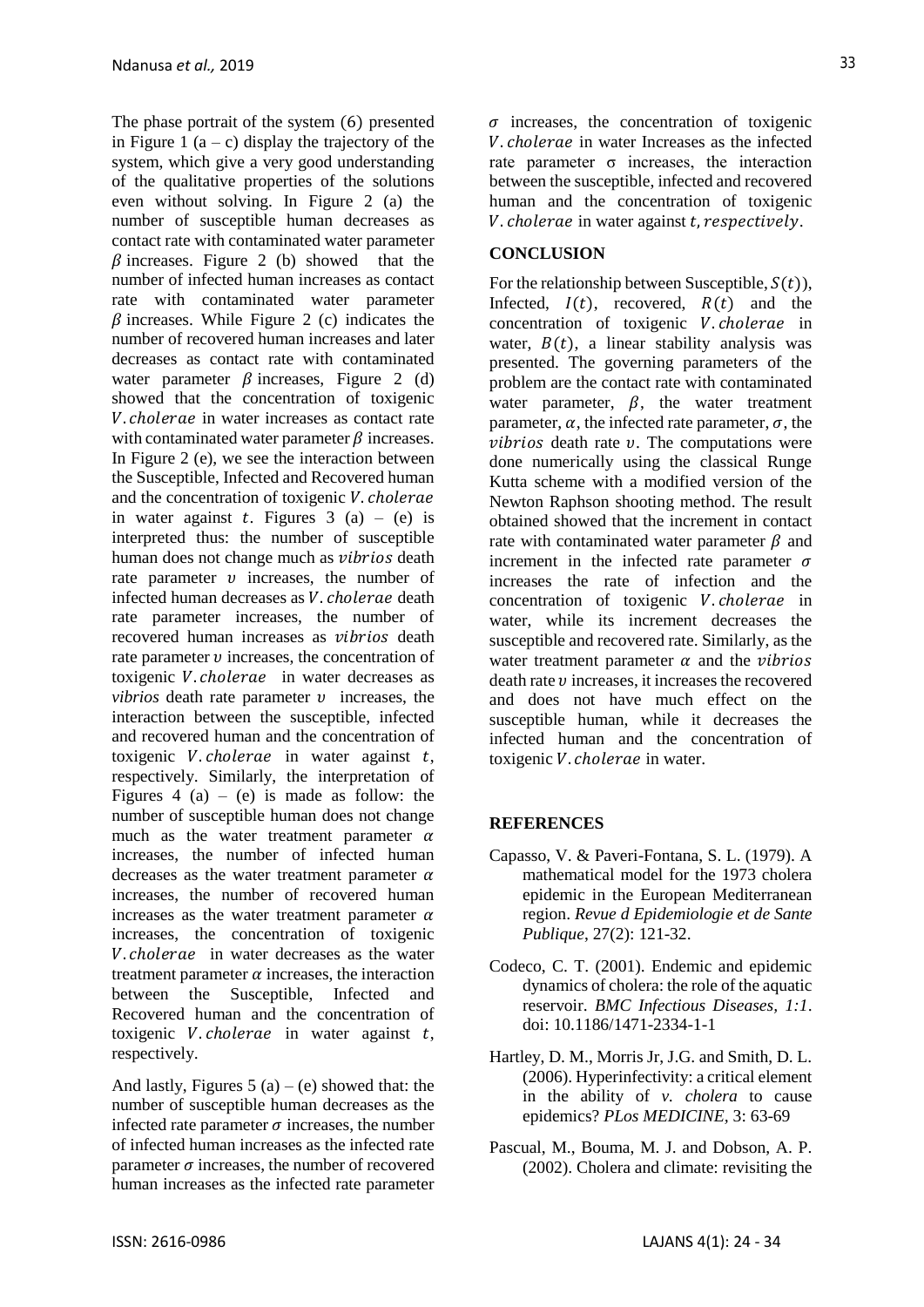The phase portrait of the system (6) presented in Figure 1  $(a - c)$  display the trajectory of the system, which give a very good understanding of the qualitative properties of the solutions even without solving. In Figure 2 (a) the number of susceptible human decreases as contact rate with contaminated water parameter  $\beta$  increases. Figure 2 (b) showed that the number of infected human increases as contact rate with contaminated water parameter  $\beta$  increases. While Figure 2 (c) indicates the number of recovered human increases and later decreases as contact rate with contaminated water parameter  $\beta$  increases. Figure 2 (d) showed that the concentration of toxigenic V. cholerae in water increases as contact rate with contaminated water parameter  $\beta$  increases. In Figure 2 (e), we see the interaction between the Susceptible, Infected and Recovered human and the concentration of toxigenic  $V$ . *cholerae* in water against t. Figures  $3(a) - (e)$  is interpreted thus: the number of susceptible human does not change much as *vibrios* death rate parameter  $\nu$  increases, the number of infected human decreases as *V*. *cholerae* death rate parameter increases, the number of recovered human increases as *vibrios* death rate parameter  $\nu$  increases, the concentration of toxigenic *V. cholerae* in water decreases as *vibrios* death rate parameter  $\nu$  increases, the interaction between the susceptible, infected and recovered human and the concentration of toxigenic  $V$ . *cholerae* in water against  $t$ , respectively. Similarly, the interpretation of Figures 4 (a) – (e) is made as follow: the number of susceptible human does not change much as the water treatment parameter  $\alpha$ increases, the number of infected human decreases as the water treatment parameter  $\alpha$ increases, the number of recovered human increases as the water treatment parameter  $\alpha$ increases, the concentration of toxigenic V. cholerae in water decreases as the water treatment parameter  $\alpha$  increases, the interaction between the Susceptible, Infected and Recovered human and the concentration of toxigenic *V. cholerae* in water against  $t$ , respectively.

And lastly, Figures 5 (a) – (e) showed that: the number of susceptible human decreases as the infected rate parameter  $\sigma$  increases, the number of infected human increases as the infected rate parameter  $\sigma$  increases, the number of recovered human increases as the infected rate parameter  $\sigma$  increases, the concentration of toxigenic V. cholerae in water Increases as the infected rate parameter  $\sigma$  increases, the interaction between the susceptible, infected and recovered human and the concentration of toxigenic V. cholerae in water against t, respectively.

# **CONCLUSION**

For the relationship between Susceptible,  $S(t)$ ), Infected,  $I(t)$ , recovered,  $R(t)$  and the concentration of toxigenic *V. cholerae* in water,  $B(t)$ , a linear stability analysis was presented. The governing parameters of the problem are the contact rate with contaminated water parameter,  $\beta$ , the water treatment parameter,  $\alpha$ , the infected rate parameter,  $\sigma$ , the  $vibrios$  death rate  $v$ . The computations were done numerically using the classical Runge Kutta scheme with a modified version of the Newton Raphson shooting method. The result obtained showed that the increment in contact rate with contaminated water parameter  $\beta$  and increment in the infected rate parameter  $\sigma$ increases the rate of infection and the concentration of toxigenic *V. cholerae* in water, while its increment decreases the susceptible and recovered rate. Similarly, as the water treatment parameter  $\alpha$  and the *vibrios*  $\theta$  death rate  $\nu$  increases, it increases the recovered and does not have much effect on the susceptible human, while it decreases the infected human and the concentration of toxigenic *V*. *cholerae* in water.

# **REFERENCES**

- Capasso, V. & Paveri-Fontana, S. L. (1979). A mathematical model for the 1973 cholera epidemic in the European Mediterranean region. *Revue d Epidemiologie et de Sante Publique*, 27(2): 121-32.
- Codeco, C. T. (2001). Endemic and epidemic dynamics of cholera: the role of the aquatic reservoir. *BMC Infectious Diseases, 1:1*. doi: 10.1186/1471-2334-1-1
- Hartley, D. M., Morris Jr, J.G. and Smith, D. L. (2006). Hyperinfectivity: a critical element in the ability of *v. cholera* to cause epidemics? *PLos MEDICINE,* 3: 63-69
- Pascual, M., Bouma, M. J. and Dobson, A. P. (2002). Cholera and climate: revisiting the